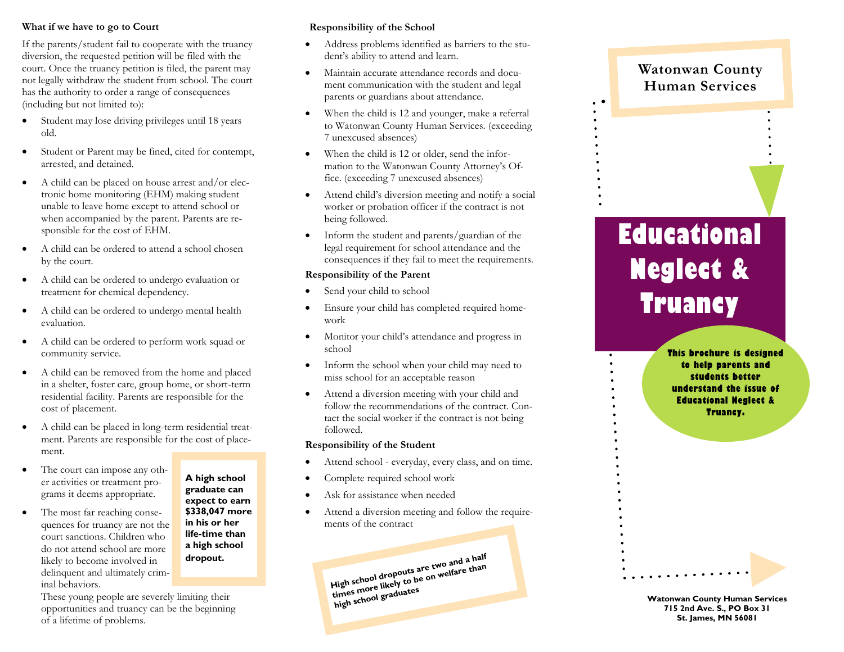### **What if we have to go to Court**

If the parents/student fail to cooperate with the truancy diversion, the requested petition will be filed with the court. Once the truancy petition is filed, the parent may not legally withdraw the student from school. The court has the authority to order a range of consequences (including but not limited to):

- Student may lose driving privileges until 18 years old.
- Student or Parent may be fined, cited for contempt, arrested, and detained.
- A child can be placed on house arrest and/or electronic home monitoring (EHM) making student unable to leave home except to attend school or when accompanied by the parent. Parents are responsible for the cost of EHM.
- A child can be ordered to attend a school chosen by the court.
- A child can be ordered to undergo evaluation or treatment for chemical dependency.
- A child can be ordered to undergo mental health evaluation.
- A child can be ordered to perform work squad or community service.
- A child can be removed from the home and placed in a shelter, foster care, group home, or short-term residential facility. Parents are responsible for the cost of placement.
- A child can be placed in long-term residential treatment. Parents are responsible for the cost of placement.
- The court can impose any other activities or treatment programs it deems appropriate.
- The most far reaching consequences for truancy are not the court sanctions. Children who do not attend school are more likely to become involved in delinquent and ultimately criminal behaviors.

**A high school graduate can expect to earn \$338,047 more in his or her life-time than a high school dropout.**

These young people are severely limiting their opportunities and truancy can be the beginning of a lifetime of problems.

## **Responsibility of the School**

- Address problems identified as barriers to the student's ability to attend and learn.
- Maintain accurate attendance records and document communication with the student and legal parents or guardians about attendance.
- When the child is 12 and younger, make a referral to Watonwan County Human Services. (exceeding 7 unexcused absences)
- When the child is 12 or older, send the information to the Watonwan County Attorney's Office. (exceeding 7 unexcused absences)
- Attend child's diversion meeting and notify a social worker or probation officer if the contract is not being followed.
- Inform the student and parents/guardian of the legal requirement for school attendance and the consequences if they fail to meet the requirements.

## **Responsibility of the Parent**

- Send your child to school
- Ensure your child has completed required homework
- Monitor your child's attendance and progress in school
- Inform the school when your child may need to miss school for an acceptable reason
- Attend a diversion meeting with your child and follow the recommendations of the contract. Contact the social worker if the contract is not being followed.

### **Responsibility of the Student**

- Attend school everyday, every class, and on time.
- Complete required school work
- Ask for assistance when needed
- Attend a diversion meeting and follow the requirements of the contract

**High school dropouts are two and a half**  times more likely to be on welfare than **high school graduates**

# **Watonwan County Human Services**

# **Educational Neglect & Truancy**

**This brochure is designed to help parents and students better understand the issue of Educational Neglect & Truancy.**

**Watonwan County Human Services 715 2nd Ave. S., PO Box 31 St. James, MN 56081**